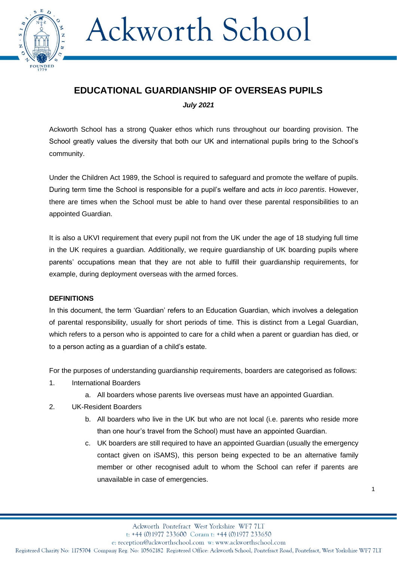

### **EDUCATIONAL GUARDIANSHIP OF OVERSEAS PUPILS**

*July 2021*

Ackworth School has a strong Quaker ethos which runs throughout our boarding provision. The School greatly values the diversity that both our UK and international pupils bring to the School's community.

Under the Children Act 1989, the School is required to safeguard and promote the welfare of pupils. During term time the School is responsible for a pupil's welfare and acts *in loco parentis*. However, there are times when the School must be able to hand over these parental responsibilities to an appointed Guardian.

It is also a UKVI requirement that every pupil not from the UK under the age of 18 studying full time in the UK requires a guardian. Additionally, we require guardianship of UK boarding pupils where parents' occupations mean that they are not able to fulfill their guardianship requirements, for example, during deployment overseas with the armed forces.

### **DEFINITIONS**

In this document, the term 'Guardian' refers to an Education Guardian, which involves a delegation of parental responsibility, usually for short periods of time. This is distinct from a Legal Guardian, which refers to a person who is appointed to care for a child when a parent or guardian has died, or to a person acting as a guardian of a child's estate.

For the purposes of understanding guardianship requirements, boarders are categorised as follows:

- 1. International Boarders
	- a. All boarders whose parents live overseas must have an appointed Guardian.
- 2. UK-Resident Boarders
	- b. All boarders who live in the UK but who are not local (i.e. parents who reside more than one hour's travel from the School) must have an appointed Guardian.
	- c. UK boarders are still required to have an appointed Guardian (usually the emergency contact given on iSAMS), this person being expected to be an alternative family member or other recognised adult to whom the School can refer if parents are unavailable in case of emergencies.

1

t: +44 (0)1977 233600 Coram t: +44 (0)1977 233650

e: reception@ackworthschool.com w: www.ackworthschool.com

Registered Charity No: 1175704 Company Reg. No: 10562182 Registered Office: Ackworth School, Pontefract Road, Pontefract, West Yorkshire WF7 7LT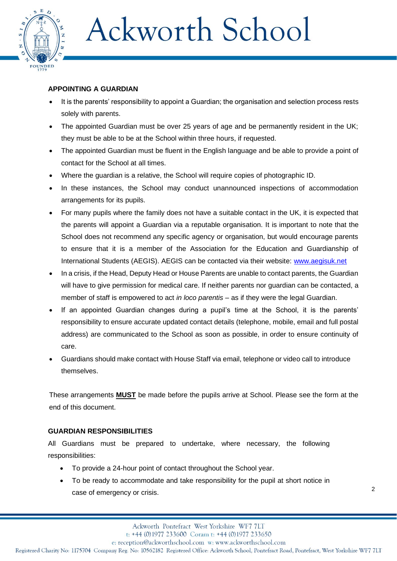

### **APPOINTING A GUARDIAN**

- It is the parents' responsibility to appoint a Guardian; the organisation and selection process rests solely with parents.
- The appointed Guardian must be over 25 years of age and be permanently resident in the UK; they must be able to be at the School within three hours, if requested.
- The appointed Guardian must be fluent in the English language and be able to provide a point of contact for the School at all times.
- Where the guardian is a relative, the School will require copies of photographic ID.
- In these instances, the School may conduct unannounced inspections of accommodation arrangements for its pupils.
- For many pupils where the family does not have a suitable contact in the UK, it is expected that the parents will appoint a Guardian via a reputable organisation. It is important to note that the School does not recommend any specific agency or organisation, but would encourage parents to ensure that it is a member of the Association for the Education and Guardianship of International Students (AEGIS). AEGIS can be contacted via their website: [www.aegisuk.net](http://www.aegisuk.net/)
- In a crisis, if the Head, Deputy Head or House Parents are unable to contact parents, the Guardian will have to give permission for medical care. If neither parents nor guardian can be contacted, a member of staff is empowered to act *in loco parentis* – as if they were the legal Guardian.
- If an appointed Guardian changes during a pupil's time at the School, it is the parents' responsibility to ensure accurate updated contact details (telephone, mobile, email and full postal address) are communicated to the School as soon as possible, in order to ensure continuity of care.
- Guardians should make contact with House Staff via email, telephone or video call to introduce themselves.

These arrangements **MUST** be made before the pupils arrive at School. Please see the form at the end of this document.

#### **GUARDIAN RESPONSIBILITIES**

All Guardians must be prepared to undertake, where necessary, the following responsibilities:

- To provide a 24-hour point of contact throughout the School year.
- To be ready to accommodate and take responsibility for the pupil at short notice in case of emergency or crisis.

2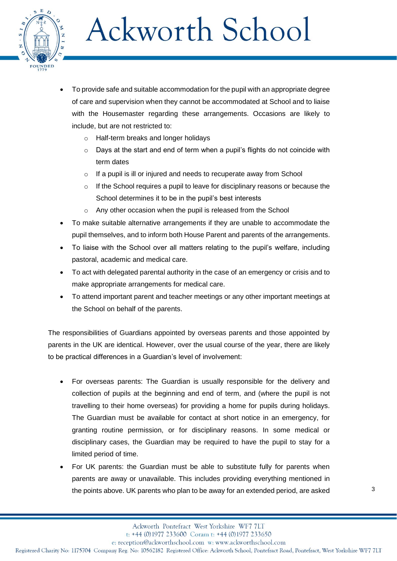

- To provide safe and suitable accommodation for the pupil with an appropriate degree of care and supervision when they cannot be accommodated at School and to liaise with the Housemaster regarding these arrangements. Occasions are likely to include, but are not restricted to:
	- Half-term breaks and longer holidays
	- o Days at the start and end of term when a pupil's flights do not coincide with term dates
	- o If a pupil is ill or injured and needs to recuperate away from School
	- If the School requires a pupil to leave for disciplinary reasons or because the School determines it to be in the pupil's best interests
	- o Any other occasion when the pupil is released from the School
- To make suitable alternative arrangements if they are unable to accommodate the pupil themselves, and to inform both House Parent and parents of the arrangements.
- To liaise with the School over all matters relating to the pupil's welfare, including pastoral, academic and medical care.
- To act with delegated parental authority in the case of an emergency or crisis and to make appropriate arrangements for medical care.
- To attend important parent and teacher meetings or any other important meetings at the School on behalf of the parents.

The responsibilities of Guardians appointed by overseas parents and those appointed by parents in the UK are identical. However, over the usual course of the year, there are likely to be practical differences in a Guardian's level of involvement:

- For overseas parents: The Guardian is usually responsible for the delivery and collection of pupils at the beginning and end of term, and (where the pupil is not travelling to their home overseas) for providing a home for pupils during holidays. The Guardian must be available for contact at short notice in an emergency, for granting routine permission, or for disciplinary reasons. In some medical or disciplinary cases, the Guardian may be required to have the pupil to stay for a limited period of time.
- For UK parents: the Guardian must be able to substitute fully for parents when parents are away or unavailable. This includes providing everything mentioned in the points above. UK parents who plan to be away for an extended period, are asked

t: +44 (0)1977 233600 Coram t: +44 (0)1977 233650

e: reception@ackworthschool.com w: www.ackworthschool.com

Registered Charity No: 1175704 Company Reg. No: 10562182 Registered Office: Ackworth School, Pontefract Road, Pontefract, West Yorkshire WF7 7LT